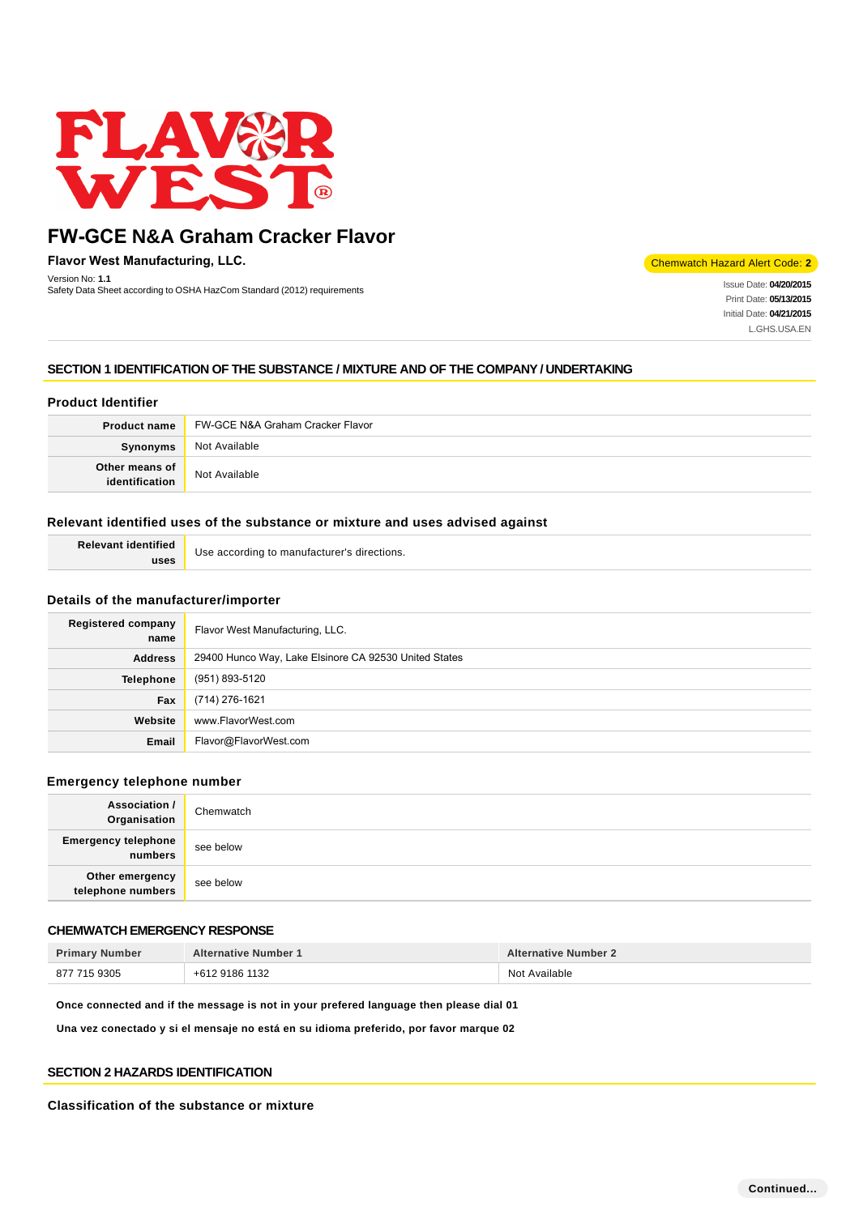

**Flavor West Manufacturing, LLC.**

Chemwatch Hazard Alert Code: **2**

Version No: **1.1**<br>Safety Data Sheet according to OSHA HazCom Standard (2012) requirements International States International States of Date: **04/20/2015** Print Date: **05/13/2015** Initial Date: **04/21/2015** L.GHS.USA.EN

## **SECTION 1 IDENTIFICATION OF THE SUBSTANCE / MIXTURE AND OF THE COMPANY / UNDERTAKING**

### **Product Identifier**

Version No: **1.1**

| <b>Product name</b>              | FW-GCE N&A Graham Cracker Flavor |
|----------------------------------|----------------------------------|
| Synonyms                         | Not Available                    |
| Other means of<br>identification | Not Available                    |

### **Relevant identified uses of the substance or mixture and uses advised against**

| <b>Relevant identified</b> | Use according to manufacturer's directions. |
|----------------------------|---------------------------------------------|
| uses                       |                                             |

### **Details of the manufacturer/importer**

| Registered company<br>name | Flavor West Manufacturing, LLC.                       |
|----------------------------|-------------------------------------------------------|
| <b>Address</b>             | 29400 Hunco Way, Lake Elsinore CA 92530 United States |
| <b>Telephone</b>           | (951) 893-5120                                        |
| Fax                        | (714) 276-1621                                        |
| Website                    | www.FlavorWest.com                                    |
| Email                      | Flavor@FlavorWest.com                                 |

#### **Emergency telephone number**

| Association /<br>Organisation         | Chemwatch |
|---------------------------------------|-----------|
| <b>Emergency telephone</b><br>numbers | see below |
| Other emergency<br>telephone numbers  | see below |

### **CHEMWATCH EMERGENCY RESPONSE**

| <b>Primary Number</b> | <b>Alternative Number 1</b> | <b>Alternative Number 2</b> |
|-----------------------|-----------------------------|-----------------------------|
| 877 715 9305          | +612 9186 1132              | Not Available               |

**Once connected and if the message is not in your prefered language then please dial 01**

**Una vez conectado y si el mensaje no está en su idioma preferido, por favor marque 02**

### **SECTION 2 HAZARDS IDENTIFICATION**

#### **Classification of the substance or mixture**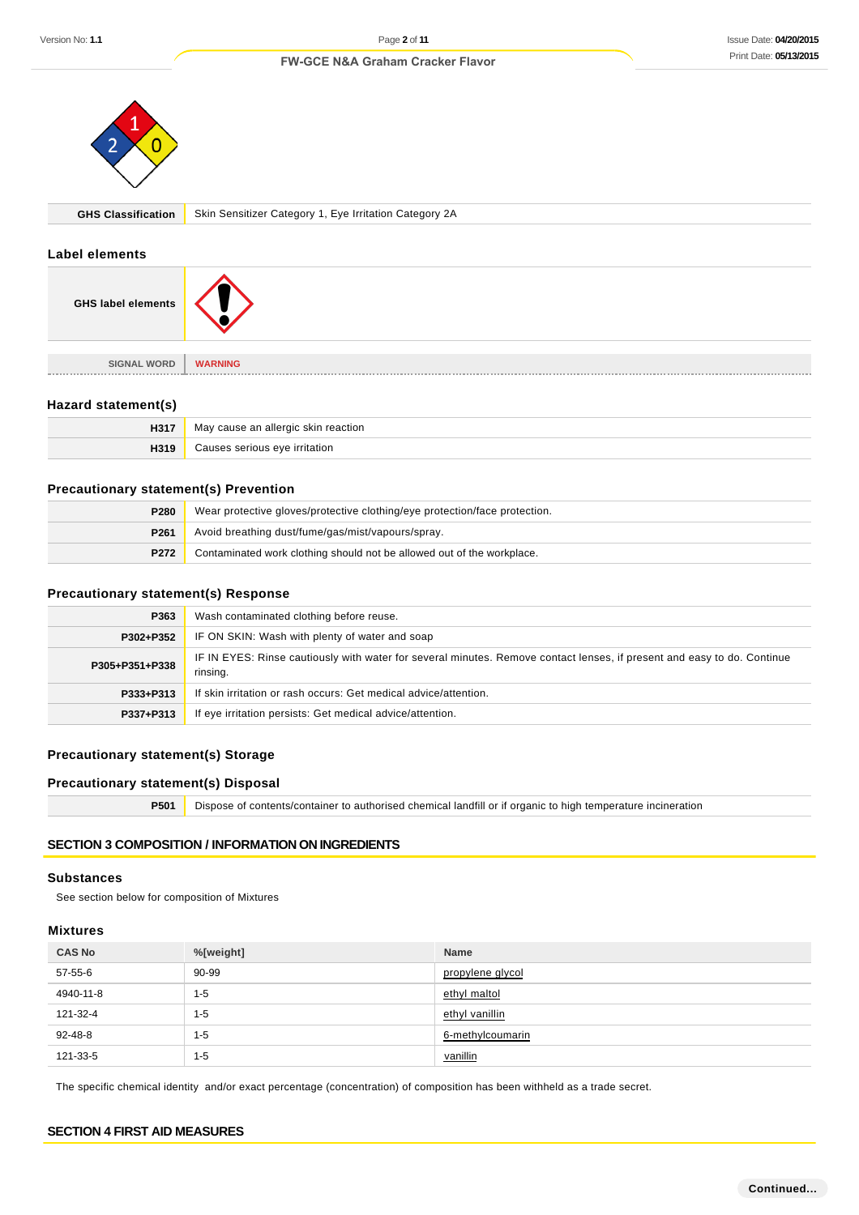

**GHS Classification** Skin Sensitizer Category 1, Eye Irritation Category 2A

#### **Label elements**

| <b>GHS label elements</b> |                |
|---------------------------|----------------|
| <b>SIGNAL WORD</b>        | <b>WARNING</b> |
|                           |                |

### **Hazard statement(s)**

| H31. | May cause an allergic skin reaction |
|------|-------------------------------------|
| 1319 | eve irritation                      |

### **Precautionary statement(s) Prevention**

| P <sub>280</sub> | Wear protective gloves/protective clothing/eye protection/face protection. |
|------------------|----------------------------------------------------------------------------|
| P261             | Avoid breathing dust/fume/gas/mist/vapours/spray.                          |
| P272             | Contaminated work clothing should not be allowed out of the workplace.     |

### **Precautionary statement(s) Response**

| P363           | Wash contaminated clothing before reuse.                                                                                            |  |
|----------------|-------------------------------------------------------------------------------------------------------------------------------------|--|
| P302+P352      | IF ON SKIN: Wash with plenty of water and soap                                                                                      |  |
| P305+P351+P338 | IF IN EYES: Rinse cautiously with water for several minutes. Remove contact lenses, if present and easy to do. Continue<br>rinsing. |  |
| P333+P313      | If skin irritation or rash occurs: Get medical advice/attention.                                                                    |  |
| P337+P313      | If eye irritation persists: Get medical advice/attention.                                                                           |  |

# **Precautionary statement(s) Storage**

### **Precautionary statement(s) Disposal**

**P501** Dispose of contents/container to authorised chemical landfill or if organic to high temperature incineration

### **SECTION 3 COMPOSITION / INFORMATION ON INGREDIENTS**

#### **Substances**

See section below for composition of Mixtures

#### **Mixtures**

| <b>CAS No</b> | %[weight] | <b>Name</b>      |
|---------------|-----------|------------------|
| 57-55-6       | 90-99     | propylene glycol |
| 4940-11-8     | $1 - 5$   | ethyl maltol     |
| 121-32-4      | $1 - 5$   | ethyl vanillin   |
| 92-48-8       | $1 - 5$   | 6-methylcoumarin |
| 121-33-5      | $1 - 5$   | vanillin         |

The specific chemical identity and/or exact percentage (concentration) of composition has been withheld as a trade secret.

### **SECTION 4 FIRST AID MEASURES**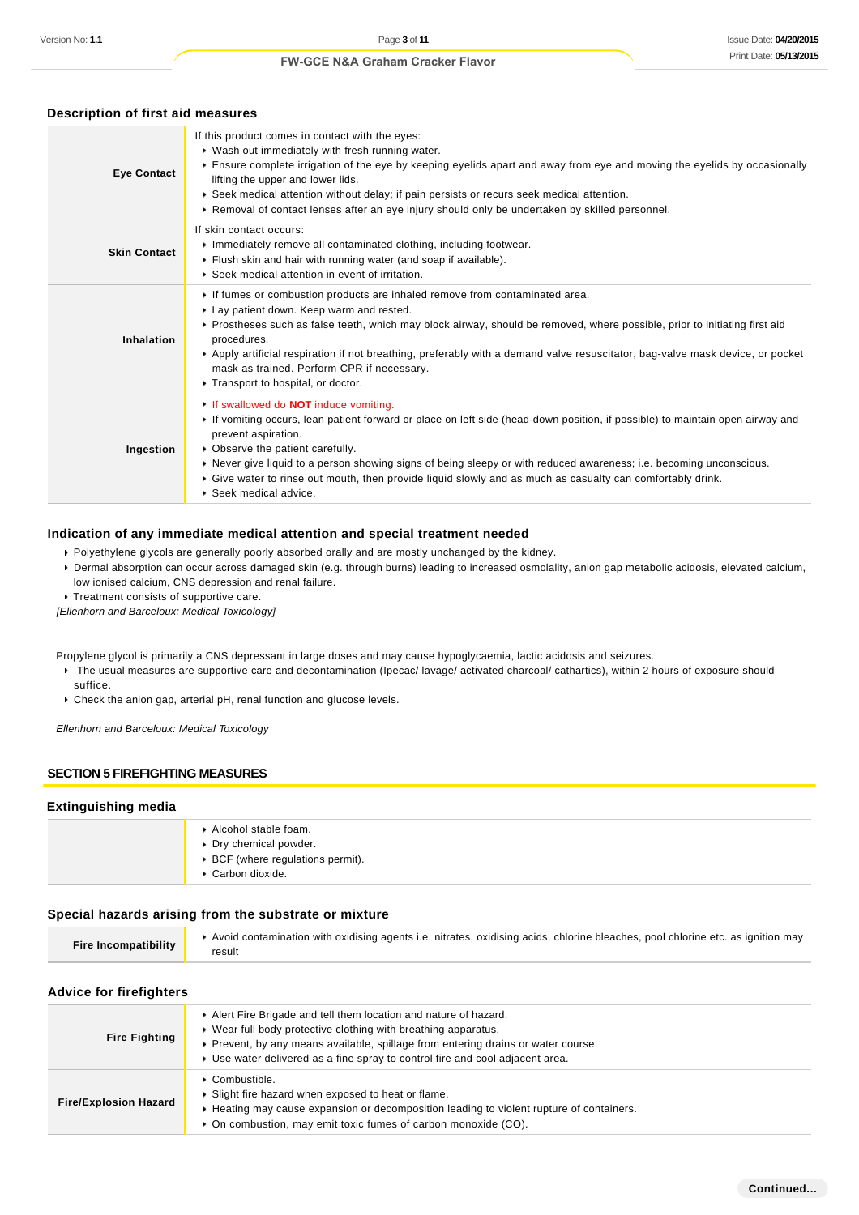| <b>Eye Contact</b>  | If this product comes in contact with the eyes:<br>• Wash out immediately with fresh running water.<br>Ensure complete irrigation of the eye by keeping eyelids apart and away from eye and moving the eyelids by occasionally<br>lifting the upper and lower lids.<br>▶ Seek medical attention without delay; if pain persists or recurs seek medical attention.<br>► Removal of contact lenses after an eye injury should only be undertaken by skilled personnel.                                |  |
|---------------------|-----------------------------------------------------------------------------------------------------------------------------------------------------------------------------------------------------------------------------------------------------------------------------------------------------------------------------------------------------------------------------------------------------------------------------------------------------------------------------------------------------|--|
| <b>Skin Contact</b> | If skin contact occurs:<br>Inmediately remove all contaminated clothing, including footwear.<br>Flush skin and hair with running water (and soap if available).<br>▶ Seek medical attention in event of irritation.                                                                                                                                                                                                                                                                                 |  |
| <b>Inhalation</b>   | If fumes or combustion products are inhaled remove from contaminated area.<br>Lay patient down. Keep warm and rested.<br>▶ Prostheses such as false teeth, which may block airway, should be removed, where possible, prior to initiating first aid<br>procedures.<br>▶ Apply artificial respiration if not breathing, preferably with a demand valve resuscitator, bag-valve mask device, or pocket<br>mask as trained. Perform CPR if necessary.<br>Transport to hospital, or doctor.             |  |
| Ingestion           | If swallowed do <b>NOT</b> induce vomiting.<br>If vomiting occurs, lean patient forward or place on left side (head-down position, if possible) to maintain open airway and<br>prevent aspiration.<br>• Observe the patient carefully.<br>▶ Never give liquid to a person showing signs of being sleepy or with reduced awareness; i.e. becoming unconscious.<br>▶ Give water to rinse out mouth, then provide liquid slowly and as much as casualty can comfortably drink.<br>Seek medical advice. |  |

### **Description of first aid measures**

#### **Indication of any immediate medical attention and special treatment needed**

- Polyethylene glycols are generally poorly absorbed orally and are mostly unchanged by the kidney.
- Dermal absorption can occur across damaged skin (e.g. through burns) leading to increased osmolality, anion gap metabolic acidosis, elevated calcium, low ionised calcium, CNS depression and renal failure.
- **Treatment consists of supportive care.**

[Ellenhorn and Barceloux: Medical Toxicology]

Propylene glycol is primarily a CNS depressant in large doses and may cause hypoglycaemia, lactic acidosis and seizures.

- ▶ The usual measures are supportive care and decontamination (Ipecac/ lavage/ activated charcoal/ cathartics), within 2 hours of exposure should suffice.
- Check the anion gap, arterial pH, renal function and glucose levels.

Ellenhorn and Barceloux: Medical Toxicology

#### **SECTION 5 FIREFIGHTING MEASURES**

#### **Extinguishing media**

| Alcohol stable foam.<br>Dry chemical powder.<br>▶ BCF (where regulations permit).<br>Carbon dioxide. |
|------------------------------------------------------------------------------------------------------|
|------------------------------------------------------------------------------------------------------|

#### **Special hazards arising from the substrate or mixture**

| <b>Fire Incompatibility</b> | Avoid contamination with oxidising agents i.e. nitrates, oxidising acids, chlorine bleaches, pool chlorine etc. as ignition may |
|-----------------------------|---------------------------------------------------------------------------------------------------------------------------------|
|                             | result                                                                                                                          |

#### **Advice for firefighters**

| <b>Fire Fighting</b>         | Alert Fire Brigade and tell them location and nature of hazard.<br>▶ Wear full body protective clothing with breathing apparatus.<br>▶ Prevent, by any means available, spillage from entering drains or water course.<br>• Use water delivered as a fine spray to control fire and cool adjacent area. |
|------------------------------|---------------------------------------------------------------------------------------------------------------------------------------------------------------------------------------------------------------------------------------------------------------------------------------------------------|
| <b>Fire/Explosion Hazard</b> | $\cdot$ Combustible.<br>▶ Slight fire hazard when exposed to heat or flame.<br>► Heating may cause expansion or decomposition leading to violent rupture of containers.<br>• On combustion, may emit toxic fumes of carbon monoxide (CO).                                                               |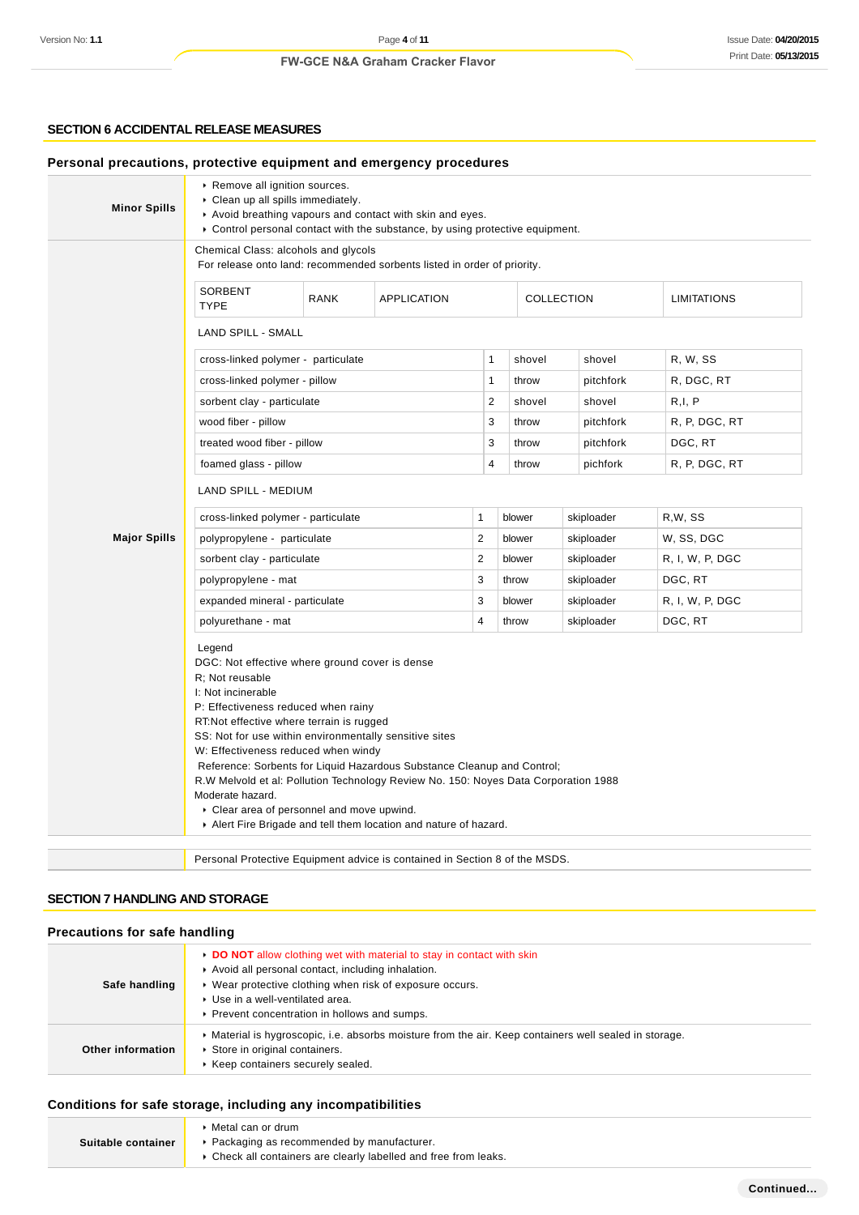### **SECTION 6 ACCIDENTAL RELEASE MEASURES**

| <b>Minor Spills</b> | Remove all ignition sources.<br>Clean up all spills immediately.<br>Avoid breathing vapours and contact with skin and eyes.<br>► Control personal contact with the substance, by using protective equipment.                                                                                                                                                                                                                                                                                                             |                                       |              |                |            |                    |                 |
|---------------------|--------------------------------------------------------------------------------------------------------------------------------------------------------------------------------------------------------------------------------------------------------------------------------------------------------------------------------------------------------------------------------------------------------------------------------------------------------------------------------------------------------------------------|---------------------------------------|--------------|----------------|------------|--------------------|-----------------|
|                     | Chemical Class: alcohols and glycols<br>For release onto land: recommended sorbents listed in order of priority.                                                                                                                                                                                                                                                                                                                                                                                                         |                                       |              |                |            |                    |                 |
|                     | SORBENT<br><b>TYPE</b>                                                                                                                                                                                                                                                                                                                                                                                                                                                                                                   | <b>RANK</b>                           | APPLICATION  | COLLECTION     |            | <b>LIMITATIONS</b> |                 |
|                     | <b>LAND SPILL - SMALL</b>                                                                                                                                                                                                                                                                                                                                                                                                                                                                                                |                                       |              |                |            |                    |                 |
|                     | cross-linked polymer - particulate                                                                                                                                                                                                                                                                                                                                                                                                                                                                                       |                                       |              | 1              | shovel     | shovel             | R, W, SS        |
|                     | cross-linked polymer - pillow                                                                                                                                                                                                                                                                                                                                                                                                                                                                                            |                                       |              | $\mathbf{1}$   | throw      | pitchfork          | R, DGC, RT      |
|                     | sorbent clay - particulate                                                                                                                                                                                                                                                                                                                                                                                                                                                                                               |                                       |              | $\overline{2}$ | shovel     | shovel             | R, I, P         |
|                     | wood fiber - pillow                                                                                                                                                                                                                                                                                                                                                                                                                                                                                                      |                                       |              | 3              | throw      | pitchfork          | R, P, DGC, RT   |
|                     | treated wood fiber - pillow                                                                                                                                                                                                                                                                                                                                                                                                                                                                                              |                                       |              | 3              | throw      | pitchfork          | DGC, RT         |
|                     | foamed glass - pillow                                                                                                                                                                                                                                                                                                                                                                                                                                                                                                    |                                       |              | 4              | throw      | pichfork           | R, P, DGC, RT   |
|                     | <b>LAND SPILL - MEDIUM</b>                                                                                                                                                                                                                                                                                                                                                                                                                                                                                               |                                       |              |                |            |                    |                 |
|                     | cross-linked polymer - particulate                                                                                                                                                                                                                                                                                                                                                                                                                                                                                       |                                       | $\mathbf{1}$ | blower         | skiploader | R,W, SS            |                 |
| <b>Major Spills</b> | polypropylene - particulate                                                                                                                                                                                                                                                                                                                                                                                                                                                                                              |                                       |              | $\overline{2}$ | blower     | skiploader         | W, SS, DGC      |
|                     | sorbent clay - particulate                                                                                                                                                                                                                                                                                                                                                                                                                                                                                               |                                       |              | $\overline{2}$ | blower     | skiploader         | R, I, W, P, DGC |
|                     | polypropylene - mat                                                                                                                                                                                                                                                                                                                                                                                                                                                                                                      |                                       |              | 3              | throw      | skiploader         | DGC, RT         |
|                     | expanded mineral - particulate                                                                                                                                                                                                                                                                                                                                                                                                                                                                                           |                                       |              | 3              | blower     | skiploader         | R, I, W, P, DGC |
|                     | polyurethane - mat                                                                                                                                                                                                                                                                                                                                                                                                                                                                                                       | $\overline{4}$<br>throw<br>skiploader |              |                | DGC, RT    |                    |                 |
|                     | Legend<br>DGC: Not effective where ground cover is dense<br>R: Not reusable<br>I: Not incinerable<br>P: Effectiveness reduced when rainy<br>RT: Not effective where terrain is rugged<br>SS: Not for use within environmentally sensitive sites<br>W: Effectiveness reduced when windy<br>Reference: Sorbents for Liquid Hazardous Substance Cleanup and Control;<br>R.W Melvold et al: Pollution Technology Review No. 150: Noyes Data Corporation 1988<br>Moderate hazard.<br>Clear area of personnel and move upwind. |                                       |              |                |            |                    |                 |
|                     | Alert Fire Brigade and tell them location and nature of hazard.                                                                                                                                                                                                                                                                                                                                                                                                                                                          |                                       |              |                |            |                    |                 |

### **SECTION 7 HANDLING AND STORAGE**

# **Precautions for safe handling**

| Safe handling     | DO NOT allow clothing wet with material to stay in contact with skin<br>Avoid all personal contact, including inhalation.<br>▶ Wear protective clothing when risk of exposure occurs.<br>Use in a well-ventilated area.<br>▶ Prevent concentration in hollows and sumps. |
|-------------------|--------------------------------------------------------------------------------------------------------------------------------------------------------------------------------------------------------------------------------------------------------------------------|
| Other information | • Material is hygroscopic, i.e. absorbs moisture from the air. Keep containers well sealed in storage.<br>Store in original containers.<br>Keep containers securely sealed.                                                                                              |

# **Conditions for safe storage, including any incompatibilities**

| Suitable container | $\blacktriangleright$ Metal can or drum<br>▶ Packaging as recommended by manufacturer.<br>• Check all containers are clearly labelled and free from leaks. |
|--------------------|------------------------------------------------------------------------------------------------------------------------------------------------------------|
|                    |                                                                                                                                                            |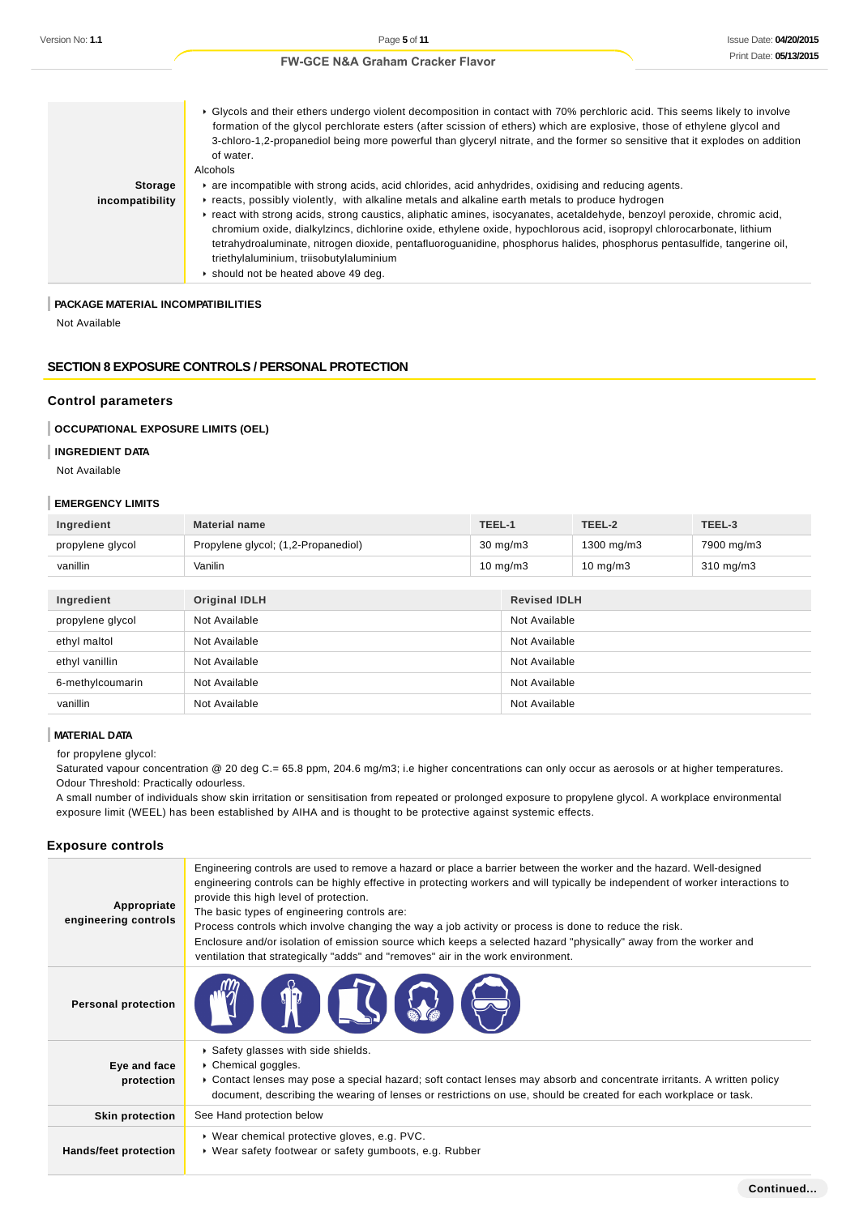|                 | ► Glycols and their ethers undergo violent decomposition in contact with 70% perchloric acid. This seems likely to involve<br>formation of the glycol perchlorate esters (after scission of ethers) which are explosive, those of ethylene glycol and<br>3-chloro-1,2-propanediol being more powerful than glyceryl nitrate, and the former so sensitive that it explodes on addition<br>of water.<br>Alcohols                                                |
|-----------------|---------------------------------------------------------------------------------------------------------------------------------------------------------------------------------------------------------------------------------------------------------------------------------------------------------------------------------------------------------------------------------------------------------------------------------------------------------------|
| <b>Storage</b>  | are incompatible with strong acids, acid chlorides, acid anhydrides, oxidising and reducing agents.                                                                                                                                                                                                                                                                                                                                                           |
| incompatibility | reacts, possibly violently, with alkaline metals and alkaline earth metals to produce hydrogen                                                                                                                                                                                                                                                                                                                                                                |
|                 | Freact with strong acids, strong caustics, aliphatic amines, isocyanates, acetaldehyde, benzoyl peroxide, chromic acid,<br>chromium oxide, dialkylzincs, dichlorine oxide, ethylene oxide, hypochlorous acid, isopropyl chlorocarbonate, lithium<br>tetrahydroaluminate, nitrogen dioxide, pentafluoroguanidine, phosphorus halides, phosphorus pentasulfide, tangerine oil,<br>triethylaluminium, triisobutylaluminium<br>Should not be heated above 49 deg. |

#### **PACKAGE MATERIAL INCOMPATIBILITIES**

Not Available

#### **SECTION 8 EXPOSURE CONTROLS / PERSONAL PROTECTION**

#### **Control parameters**

#### **OCCUPATIONAL EXPOSURE LIMITS (OEL)**

# **INGREDIENT DATA**

Not Available

#### **EMERGENCY LIMITS**

| Ingredient       | <b>Material name</b>                | TEEL-1            | TEEL-2            | TEEL-3             |
|------------------|-------------------------------------|-------------------|-------------------|--------------------|
| propylene glycol | Propylene glycol; (1,2-Propanediol) | $30 \text{ mg/m}$ | 1300 mg/m3        | 7900 mg/m3         |
| vanillin         | Vanilin                             | $10 \text{ mg/m}$ | $10 \text{ mg/m}$ | $310 \text{ mg/m}$ |

| Ingredient       | <b>Original IDLH</b> | <b>Revised IDLH</b> |
|------------------|----------------------|---------------------|
| propylene glycol | Not Available        | Not Available       |
| ethyl maltol     | Not Available        | Not Available       |
| ethyl vanillin   | Not Available        | Not Available       |
| 6-methylcoumarin | Not Available        | Not Available       |
| vanillin         | Not Available        | Not Available       |

### **MATERIAL DATA**

for propylene glycol:

Saturated vapour concentration @ 20 deg C.= 65.8 ppm, 204.6 mg/m3; i.e higher concentrations can only occur as aerosols or at higher temperatures. Odour Threshold: Practically odourless.

A small number of individuals show skin irritation or sensitisation from repeated or prolonged exposure to propylene glycol. A workplace environmental exposure limit (WEEL) has been established by AIHA and is thought to be protective against systemic effects.

#### **Exposure controls**

| Appropriate<br>engineering controls | Engineering controls are used to remove a hazard or place a barrier between the worker and the hazard. Well-designed<br>engineering controls can be highly effective in protecting workers and will typically be independent of worker interactions to<br>provide this high level of protection.<br>The basic types of engineering controls are:<br>Process controls which involve changing the way a job activity or process is done to reduce the risk.<br>Enclosure and/or isolation of emission source which keeps a selected hazard "physically" away from the worker and<br>ventilation that strategically "adds" and "removes" air in the work environment. |
|-------------------------------------|--------------------------------------------------------------------------------------------------------------------------------------------------------------------------------------------------------------------------------------------------------------------------------------------------------------------------------------------------------------------------------------------------------------------------------------------------------------------------------------------------------------------------------------------------------------------------------------------------------------------------------------------------------------------|
| <b>Personal protection</b>          | <b>THE STATE</b>                                                                                                                                                                                                                                                                                                                                                                                                                                                                                                                                                                                                                                                   |
| Eye and face<br>protection          | ▶ Safety glasses with side shields.<br>Chemical goggles.<br>► Contact lenses may pose a special hazard; soft contact lenses may absorb and concentrate irritants. A written policy<br>document, describing the wearing of lenses or restrictions on use, should be created for each workplace or task.                                                                                                                                                                                                                                                                                                                                                             |
| <b>Skin protection</b>              | See Hand protection below                                                                                                                                                                                                                                                                                                                                                                                                                                                                                                                                                                                                                                          |
| Hands/feet protection               | ▶ Wear chemical protective gloves, e.g. PVC.<br>• Wear safety footwear or safety gumboots, e.g. Rubber                                                                                                                                                                                                                                                                                                                                                                                                                                                                                                                                                             |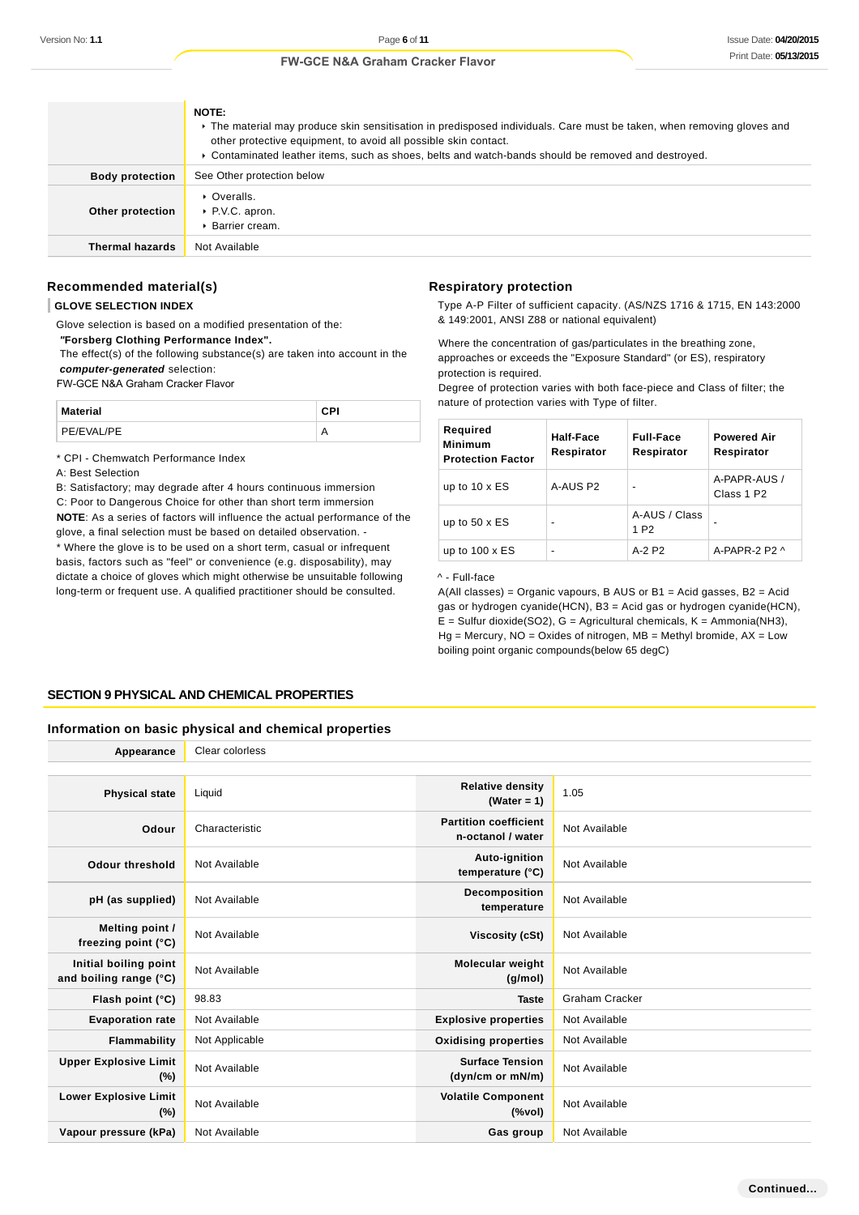|                        | NOTE:<br>• The material may produce skin sensitisation in predisposed individuals. Care must be taken, when removing gloves and<br>other protective equipment, to avoid all possible skin contact.<br>▶ Contaminated leather items, such as shoes, belts and watch-bands should be removed and destroyed. |
|------------------------|-----------------------------------------------------------------------------------------------------------------------------------------------------------------------------------------------------------------------------------------------------------------------------------------------------------|
| <b>Body protection</b> | See Other protection below                                                                                                                                                                                                                                                                                |
| Other protection       | • Overalls.<br>$\triangleright$ P.V.C. apron.<br>▶ Barrier cream.                                                                                                                                                                                                                                         |
| <b>Thermal hazards</b> | Not Available                                                                                                                                                                                                                                                                                             |

### **Recommended material(s)**

#### **GLOVE SELECTION INDEX**

Glove selection is based on a modified presentation of the:  **"Forsberg Clothing Performance Index".**

 The effect(s) of the following substance(s) are taken into account in the **computer-generated** selection:

FW-GCE N&A Graham Cracker Flavor

| Material   | сPІ |
|------------|-----|
| PE/EVAL/PE |     |

\* CPI - Chemwatch Performance Index

A: Best Selection

B: Satisfactory; may degrade after 4 hours continuous immersion

C: Poor to Dangerous Choice for other than short term immersion **NOTE**: As a series of factors will influence the actual performance of the glove, a final selection must be based on detailed observation. - \* Where the glove is to be used on a short term, casual or infrequent basis, factors such as "feel" or convenience (e.g. disposability), may dictate a choice of gloves which might otherwise be unsuitable following

long-term or frequent use. A qualified practitioner should be consulted.

#### **Respiratory protection**

Type A-P Filter of sufficient capacity. (AS/NZS 1716 & 1715, EN 143:2000 & 149:2001, ANSI Z88 or national equivalent)

Where the concentration of gas/particulates in the breathing zone, approaches or exceeds the "Exposure Standard" (or ES), respiratory protection is required.

Degree of protection varies with both face-piece and Class of filter; the nature of protection varies with Type of filter.

| Required<br><b>Minimum</b><br><b>Protection Factor</b> | Half-Face<br>Respirator | <b>Full-Face</b><br>Respirator    | <b>Powered Air</b><br>Respirator       |
|--------------------------------------------------------|-------------------------|-----------------------------------|----------------------------------------|
| up to $10 \times ES$                                   | A-AUS P2                | -                                 | A-PAPR-AUS /<br>Class 1 P <sub>2</sub> |
| up to $50 \times ES$                                   |                         | A-AUS / Class<br>1 P <sub>2</sub> |                                        |
| up to $100 \times ES$                                  |                         | $A-2$ P <sub>2</sub>              | A-PAPR-2 P2 $\land$                    |

^ - Full-face

 $A(All classes) = Organic vapours, B AUS or B1 = Acid gases, B2 = Acid$ gas or hydrogen cyanide(HCN), B3 = Acid gas or hydrogen cyanide(HCN),  $E =$  Sulfur dioxide(SO2),  $G =$  Agricultural chemicals,  $K =$  Ammonia(NH3),  $Hg =$  Mercury, NO = Oxides of nitrogen, MB = Methyl bromide, AX = Low boiling point organic compounds(below 65 degC)

#### **SECTION 9 PHYSICAL AND CHEMICAL PROPERTIES**

#### **Information on basic physical and chemical properties**

| Appearance                                      | Clear colorless |                                                   |                       |
|-------------------------------------------------|-----------------|---------------------------------------------------|-----------------------|
|                                                 |                 |                                                   |                       |
| <b>Physical state</b>                           | Liquid          | <b>Relative density</b><br>(Water = $1$ )         | 1.05                  |
| Odour                                           | Characteristic  | <b>Partition coefficient</b><br>n-octanol / water | Not Available         |
| <b>Odour threshold</b>                          | Not Available   | Auto-ignition<br>temperature (°C)                 | Not Available         |
| pH (as supplied)                                | Not Available   | <b>Decomposition</b><br>temperature               | Not Available         |
| Melting point /<br>freezing point (°C)          | Not Available   | Viscosity (cSt)                                   | Not Available         |
| Initial boiling point<br>and boiling range (°C) | Not Available   | Molecular weight<br>(g/mol)                       | Not Available         |
| Flash point (°C)                                | 98.83           | <b>Taste</b>                                      | <b>Graham Cracker</b> |
| <b>Evaporation rate</b>                         | Not Available   | <b>Explosive properties</b>                       | Not Available         |
| Flammability                                    | Not Applicable  | <b>Oxidising properties</b>                       | Not Available         |
| <b>Upper Explosive Limit</b><br>(%)             | Not Available   | <b>Surface Tension</b><br>(dyn/cm or mN/m)        | Not Available         |
| <b>Lower Explosive Limit</b><br>(%)             | Not Available   | <b>Volatile Component</b><br>$(\%$ vol)           | Not Available         |
| Vapour pressure (kPa)                           | Not Available   | Gas group                                         | Not Available         |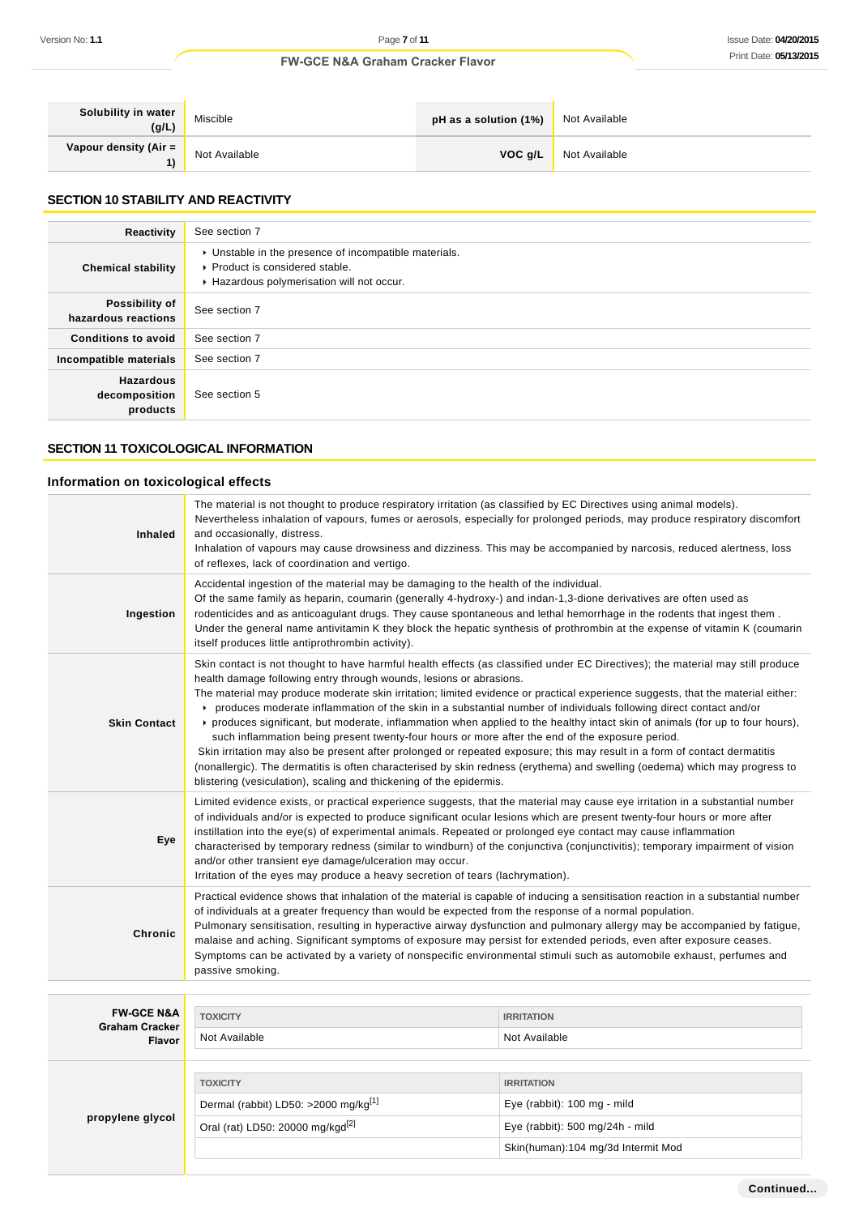| Solubility in water<br>(g/L) | Miscible      | pH as a solution (1%) | Not Available |
|------------------------------|---------------|-----------------------|---------------|
| Vapour density (Air =<br>1)  | Not Available | VOC q/L               | Not Available |

# **SECTION 10 STABILITY AND REACTIVITY**

| Reactivity                                    | See section 7                                                                                                                        |
|-----------------------------------------------|--------------------------------------------------------------------------------------------------------------------------------------|
| <b>Chemical stability</b>                     | • Unstable in the presence of incompatible materials.<br>▶ Product is considered stable.<br>Hazardous polymerisation will not occur. |
| Possibility of<br>hazardous reactions         | See section 7                                                                                                                        |
| <b>Conditions to avoid</b>                    | See section 7                                                                                                                        |
| Incompatible materials                        | See section 7                                                                                                                        |
| <b>Hazardous</b><br>decomposition<br>products | See section 5                                                                                                                        |

# **SECTION 11 TOXICOLOGICAL INFORMATION**

# **Information on toxicological effects**

| <b>Inhaled</b>                                 | The material is not thought to produce respiratory irritation (as classified by EC Directives using animal models).<br>Nevertheless inhalation of vapours, fumes or aerosols, especially for prolonged periods, may produce respiratory discomfort<br>and occasionally, distress.<br>Inhalation of vapours may cause drowsiness and dizziness. This may be accompanied by narcosis, reduced alertness, loss<br>of reflexes, lack of coordination and vertigo.                                                                                                                                                                                                                                                                                                                                                                                                                                                                                                                                                                        |                                    |  |
|------------------------------------------------|--------------------------------------------------------------------------------------------------------------------------------------------------------------------------------------------------------------------------------------------------------------------------------------------------------------------------------------------------------------------------------------------------------------------------------------------------------------------------------------------------------------------------------------------------------------------------------------------------------------------------------------------------------------------------------------------------------------------------------------------------------------------------------------------------------------------------------------------------------------------------------------------------------------------------------------------------------------------------------------------------------------------------------------|------------------------------------|--|
| Ingestion                                      | Accidental ingestion of the material may be damaging to the health of the individual.<br>Of the same family as heparin, coumarin (generally 4-hydroxy-) and indan-1,3-dione derivatives are often used as<br>rodenticides and as anticoagulant drugs. They cause spontaneous and lethal hemorrhage in the rodents that ingest them.<br>Under the general name antivitamin K they block the hepatic synthesis of prothrombin at the expense of vitamin K (coumarin<br>itself produces little antiprothrombin activity).                                                                                                                                                                                                                                                                                                                                                                                                                                                                                                               |                                    |  |
| <b>Skin Contact</b>                            | Skin contact is not thought to have harmful health effects (as classified under EC Directives); the material may still produce<br>health damage following entry through wounds, lesions or abrasions.<br>The material may produce moderate skin irritation; limited evidence or practical experience suggests, that the material either:<br>produces moderate inflammation of the skin in a substantial number of individuals following direct contact and/or<br>▶ produces significant, but moderate, inflammation when applied to the healthy intact skin of animals (for up to four hours),<br>such inflammation being present twenty-four hours or more after the end of the exposure period.<br>Skin irritation may also be present after prolonged or repeated exposure; this may result in a form of contact dermatitis<br>(nonallergic). The dermatitis is often characterised by skin redness (erythema) and swelling (oedema) which may progress to<br>blistering (vesiculation), scaling and thickening of the epidermis. |                                    |  |
| Eye                                            | Limited evidence exists, or practical experience suggests, that the material may cause eye irritation in a substantial number<br>of individuals and/or is expected to produce significant ocular lesions which are present twenty-four hours or more after<br>instillation into the eye(s) of experimental animals. Repeated or prolonged eye contact may cause inflammation<br>characterised by temporary redness (similar to windburn) of the conjunctiva (conjunctivitis); temporary impairment of vision<br>and/or other transient eye damage/ulceration may occur.<br>Irritation of the eyes may produce a heavy secretion of tears (lachrymation).                                                                                                                                                                                                                                                                                                                                                                             |                                    |  |
| <b>Chronic</b>                                 | Practical evidence shows that inhalation of the material is capable of inducing a sensitisation reaction in a substantial number<br>of individuals at a greater frequency than would be expected from the response of a normal population.<br>Pulmonary sensitisation, resulting in hyperactive airway dysfunction and pulmonary allergy may be accompanied by fatigue,<br>malaise and aching. Significant symptoms of exposure may persist for extended periods, even after exposure ceases.<br>Symptoms can be activated by a variety of nonspecific environmental stimuli such as automobile exhaust, perfumes and<br>passive smoking.                                                                                                                                                                                                                                                                                                                                                                                            |                                    |  |
|                                                |                                                                                                                                                                                                                                                                                                                                                                                                                                                                                                                                                                                                                                                                                                                                                                                                                                                                                                                                                                                                                                      |                                    |  |
| <b>FW-GCE N&amp;A</b><br><b>Graham Cracker</b> | <b>TOXICITY</b>                                                                                                                                                                                                                                                                                                                                                                                                                                                                                                                                                                                                                                                                                                                                                                                                                                                                                                                                                                                                                      | <b>IRRITATION</b>                  |  |
| <b>Flavor</b>                                  | Not Available                                                                                                                                                                                                                                                                                                                                                                                                                                                                                                                                                                                                                                                                                                                                                                                                                                                                                                                                                                                                                        | Not Available                      |  |
|                                                | <b>TOXICITY</b>                                                                                                                                                                                                                                                                                                                                                                                                                                                                                                                                                                                                                                                                                                                                                                                                                                                                                                                                                                                                                      | <b>IRRITATION</b>                  |  |
|                                                | Dermal (rabbit) LD50: >2000 mg/kg <sup>[1]</sup>                                                                                                                                                                                                                                                                                                                                                                                                                                                                                                                                                                                                                                                                                                                                                                                                                                                                                                                                                                                     | Eye (rabbit): 100 mg - mild        |  |
| propylene glycol                               | Oral (rat) LD50: 20000 mg/kgd <sup>[2]</sup>                                                                                                                                                                                                                                                                                                                                                                                                                                                                                                                                                                                                                                                                                                                                                                                                                                                                                                                                                                                         | Eye (rabbit): 500 mg/24h - mild    |  |
|                                                |                                                                                                                                                                                                                                                                                                                                                                                                                                                                                                                                                                                                                                                                                                                                                                                                                                                                                                                                                                                                                                      | Skin(human):104 mg/3d Intermit Mod |  |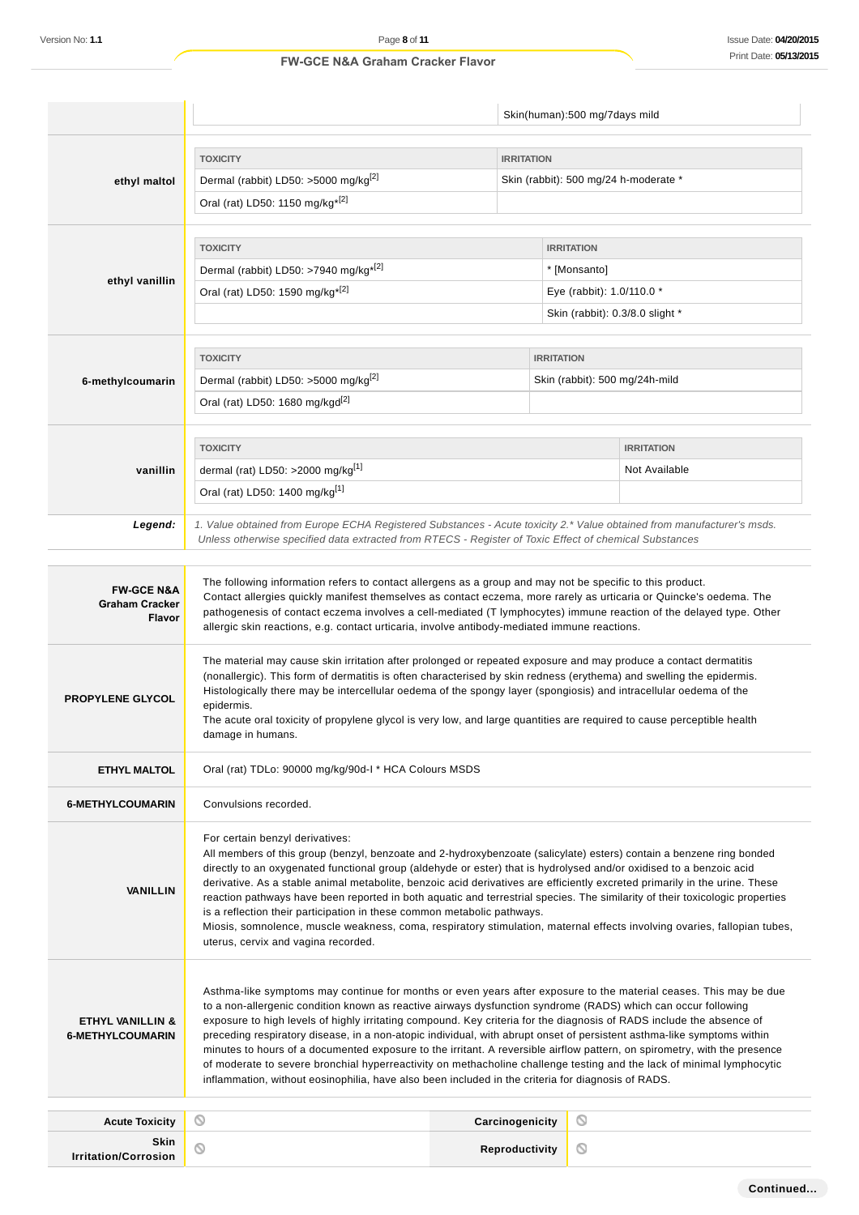|                                                          |                                                                                                                                                                                                                                                                                                                                                                                                                                                                                                                                                                                                                                                                                                                                                                                                                                                  |                   | Skin(human):500 mg/7days mild         |                   |
|----------------------------------------------------------|--------------------------------------------------------------------------------------------------------------------------------------------------------------------------------------------------------------------------------------------------------------------------------------------------------------------------------------------------------------------------------------------------------------------------------------------------------------------------------------------------------------------------------------------------------------------------------------------------------------------------------------------------------------------------------------------------------------------------------------------------------------------------------------------------------------------------------------------------|-------------------|---------------------------------------|-------------------|
|                                                          |                                                                                                                                                                                                                                                                                                                                                                                                                                                                                                                                                                                                                                                                                                                                                                                                                                                  |                   |                                       |                   |
|                                                          | <b>TOXICITY</b>                                                                                                                                                                                                                                                                                                                                                                                                                                                                                                                                                                                                                                                                                                                                                                                                                                  | <b>IRRITATION</b> |                                       |                   |
| ethyl maltol                                             | Dermal (rabbit) LD50: >5000 mg/kg <sup>[2]</sup>                                                                                                                                                                                                                                                                                                                                                                                                                                                                                                                                                                                                                                                                                                                                                                                                 |                   | Skin (rabbit): 500 mg/24 h-moderate * |                   |
|                                                          | Oral (rat) LD50: 1150 mg/kg <sup>*[2]</sup>                                                                                                                                                                                                                                                                                                                                                                                                                                                                                                                                                                                                                                                                                                                                                                                                      |                   |                                       |                   |
|                                                          |                                                                                                                                                                                                                                                                                                                                                                                                                                                                                                                                                                                                                                                                                                                                                                                                                                                  |                   |                                       |                   |
|                                                          | <b>TOXICITY</b><br>Dermal (rabbit) LD50: >7940 mg/kg <sup>*[2]</sup>                                                                                                                                                                                                                                                                                                                                                                                                                                                                                                                                                                                                                                                                                                                                                                             |                   | <b>IRRITATION</b><br>* [Monsanto]     |                   |
| ethyl vanillin                                           | Oral (rat) LD50: 1590 mg/kg <sup>*[2]</sup>                                                                                                                                                                                                                                                                                                                                                                                                                                                                                                                                                                                                                                                                                                                                                                                                      |                   | Eye (rabbit): 1.0/110.0 *             |                   |
|                                                          |                                                                                                                                                                                                                                                                                                                                                                                                                                                                                                                                                                                                                                                                                                                                                                                                                                                  |                   | Skin (rabbit): 0.3/8.0 slight *       |                   |
|                                                          |                                                                                                                                                                                                                                                                                                                                                                                                                                                                                                                                                                                                                                                                                                                                                                                                                                                  |                   |                                       |                   |
|                                                          | <b>TOXICITY</b>                                                                                                                                                                                                                                                                                                                                                                                                                                                                                                                                                                                                                                                                                                                                                                                                                                  |                   | <b>IRRITATION</b>                     |                   |
| 6-methylcoumarin                                         | Dermal (rabbit) LD50: >5000 mg/kg <sup>[2]</sup>                                                                                                                                                                                                                                                                                                                                                                                                                                                                                                                                                                                                                                                                                                                                                                                                 |                   | Skin (rabbit): 500 mg/24h-mild        |                   |
|                                                          | Oral (rat) LD50: 1680 mg/kgd <sup>[2]</sup>                                                                                                                                                                                                                                                                                                                                                                                                                                                                                                                                                                                                                                                                                                                                                                                                      |                   |                                       |                   |
|                                                          |                                                                                                                                                                                                                                                                                                                                                                                                                                                                                                                                                                                                                                                                                                                                                                                                                                                  |                   |                                       |                   |
|                                                          | <b>TOXICITY</b>                                                                                                                                                                                                                                                                                                                                                                                                                                                                                                                                                                                                                                                                                                                                                                                                                                  |                   |                                       | <b>IRRITATION</b> |
| vanillin                                                 | dermal (rat) LD50: >2000 mg/kg <sup>[1]</sup>                                                                                                                                                                                                                                                                                                                                                                                                                                                                                                                                                                                                                                                                                                                                                                                                    |                   |                                       | Not Available     |
|                                                          | Oral (rat) LD50: 1400 mg/kg[1]                                                                                                                                                                                                                                                                                                                                                                                                                                                                                                                                                                                                                                                                                                                                                                                                                   |                   |                                       |                   |
|                                                          |                                                                                                                                                                                                                                                                                                                                                                                                                                                                                                                                                                                                                                                                                                                                                                                                                                                  |                   |                                       |                   |
| Legend:                                                  | 1. Value obtained from Europe ECHA Registered Substances - Acute toxicity 2.* Value obtained from manufacturer's msds.<br>Unless otherwise specified data extracted from RTECS - Register of Toxic Effect of chemical Substances                                                                                                                                                                                                                                                                                                                                                                                                                                                                                                                                                                                                                 |                   |                                       |                   |
|                                                          |                                                                                                                                                                                                                                                                                                                                                                                                                                                                                                                                                                                                                                                                                                                                                                                                                                                  |                   |                                       |                   |
| <b>FW-GCE N&amp;A</b><br><b>Graham Cracker</b><br>Flavor | The following information refers to contact allergens as a group and may not be specific to this product.<br>Contact allergies quickly manifest themselves as contact eczema, more rarely as urticaria or Quincke's oedema. The<br>pathogenesis of contact eczema involves a cell-mediated (T lymphocytes) immune reaction of the delayed type. Other<br>allergic skin reactions, e.g. contact urticaria, involve antibody-mediated immune reactions.                                                                                                                                                                                                                                                                                                                                                                                            |                   |                                       |                   |
| <b>PROPYLENE GLYCOL</b>                                  | The material may cause skin irritation after prolonged or repeated exposure and may produce a contact dermatitis<br>(nonallergic). This form of dermatitis is often characterised by skin redness (erythema) and swelling the epidermis.<br>Histologically there may be intercellular oedema of the spongy layer (spongiosis) and intracellular oedema of the<br>epidermis.<br>The acute oral toxicity of propylene glycol is very low, and large quantities are required to cause perceptible health<br>damage in humans.                                                                                                                                                                                                                                                                                                                       |                   |                                       |                   |
| <b>ETHYL MALTOL</b>                                      | Oral (rat) TDLo: 90000 mg/kg/90d-1 * HCA Colours MSDS                                                                                                                                                                                                                                                                                                                                                                                                                                                                                                                                                                                                                                                                                                                                                                                            |                   |                                       |                   |
| <b>6-METHYLCOUMARIN</b>                                  | Convulsions recorded.                                                                                                                                                                                                                                                                                                                                                                                                                                                                                                                                                                                                                                                                                                                                                                                                                            |                   |                                       |                   |
| <b>VANILLIN</b>                                          | For certain benzyl derivatives:<br>All members of this group (benzyl, benzoate and 2-hydroxybenzoate (salicylate) esters) contain a benzene ring bonded<br>directly to an oxygenated functional group (aldehyde or ester) that is hydrolysed and/or oxidised to a benzoic acid<br>derivative. As a stable animal metabolite, benzoic acid derivatives are efficiently excreted primarily in the urine. These<br>reaction pathways have been reported in both aquatic and terrestrial species. The similarity of their toxicologic properties<br>is a reflection their participation in these common metabolic pathways.<br>Miosis, somnolence, muscle weakness, coma, respiratory stimulation, maternal effects involving ovaries, fallopian tubes,<br>uterus, cervix and vagina recorded.                                                       |                   |                                       |                   |
| <b>ETHYL VANILLIN &amp;</b><br><b>6-METHYLCOUMARIN</b>   | Asthma-like symptoms may continue for months or even years after exposure to the material ceases. This may be due<br>to a non-allergenic condition known as reactive airways dysfunction syndrome (RADS) which can occur following<br>exposure to high levels of highly irritating compound. Key criteria for the diagnosis of RADS include the absence of<br>preceding respiratory disease, in a non-atopic individual, with abrupt onset of persistent asthma-like symptoms within<br>minutes to hours of a documented exposure to the irritant. A reversible airflow pattern, on spirometry, with the presence<br>of moderate to severe bronchial hyperreactivity on methacholine challenge testing and the lack of minimal lymphocytic<br>inflammation, without eosinophilia, have also been included in the criteria for diagnosis of RADS. |                   |                                       |                   |
| <b>Acute Toxicity</b>                                    | O                                                                                                                                                                                                                                                                                                                                                                                                                                                                                                                                                                                                                                                                                                                                                                                                                                                | Carcinogenicity   | ல                                     |                   |
| Skin                                                     | ⊚                                                                                                                                                                                                                                                                                                                                                                                                                                                                                                                                                                                                                                                                                                                                                                                                                                                | Reproductivity    | ல                                     |                   |
| <b>Irritation/Corrosion</b>                              |                                                                                                                                                                                                                                                                                                                                                                                                                                                                                                                                                                                                                                                                                                                                                                                                                                                  |                   |                                       |                   |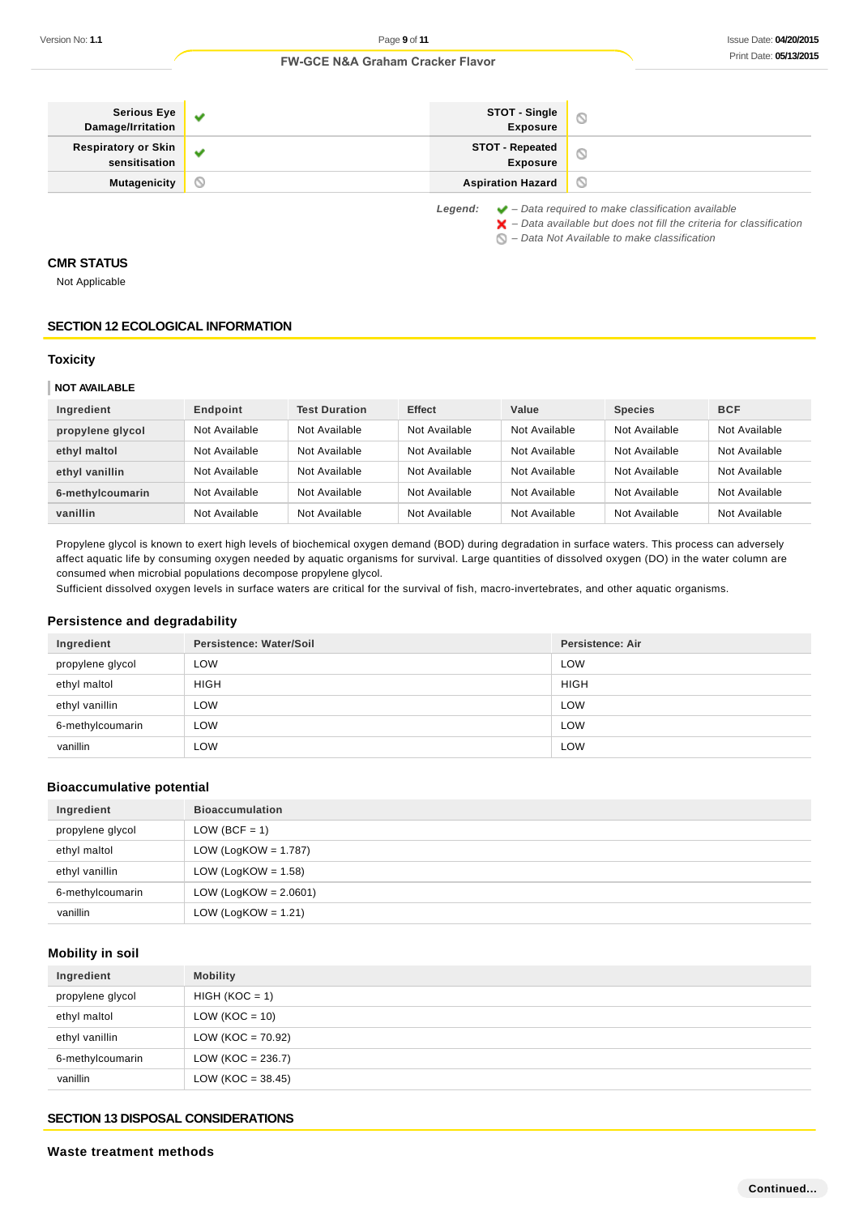| <b>Serious Eye</b><br>Damage/Irritation     | v | STOT - Single<br><b>Exposure</b>          | O                                                                                                                                                                                                                 |
|---------------------------------------------|---|-------------------------------------------|-------------------------------------------------------------------------------------------------------------------------------------------------------------------------------------------------------------------|
| <b>Respiratory or Skin</b><br>sensitisation | v | <b>STOT - Repeated</b><br><b>Exposure</b> | O                                                                                                                                                                                                                 |
| <b>Mutagenicity</b>                         | N | <b>Aspiration Hazard</b>                  | O                                                                                                                                                                                                                 |
|                                             |   | Legend:                                   | $\blacktriangleright$ – Data required to make classification available<br>$\blacktriangleright$ - Data available but does not fill the criteria for classification<br>- Data Not Available to make classification |

### **CMR STATUS**

Not Applicable

### **SECTION 12 ECOLOGICAL INFORMATION**

#### **Toxicity**

### **NOT AVAILABLE**

| Ingredient       | Endpoint      | <b>Test Duration</b> | <b>Effect</b> | Value         | <b>Species</b> | <b>BCF</b>    |
|------------------|---------------|----------------------|---------------|---------------|----------------|---------------|
| propylene glycol | Not Available | Not Available        | Not Available | Not Available | Not Available  | Not Available |
| ethyl maltol     | Not Available | Not Available        | Not Available | Not Available | Not Available  | Not Available |
| ethyl vanillin   | Not Available | Not Available        | Not Available | Not Available | Not Available  | Not Available |
| 6-methylcoumarin | Not Available | Not Available        | Not Available | Not Available | Not Available  | Not Available |
| vanillin         | Not Available | Not Available        | Not Available | Not Available | Not Available  | Not Available |

Propylene glycol is known to exert high levels of biochemical oxygen demand (BOD) during degradation in surface waters. This process can adversely affect aquatic life by consuming oxygen needed by aquatic organisms for survival. Large quantities of dissolved oxygen (DO) in the water column are consumed when microbial populations decompose propylene glycol.

Sufficient dissolved oxygen levels in surface waters are critical for the survival of fish, macro-invertebrates, and other aquatic organisms.

#### **Persistence and degradability**

| Ingredient       | Persistence: Water/Soil | <b>Persistence: Air</b> |
|------------------|-------------------------|-------------------------|
| propylene glycol | LOW                     | LOW                     |
| ethyl maltol     | <b>HIGH</b>             | <b>HIGH</b>             |
| ethyl vanillin   | <b>LOW</b>              | LOW                     |
| 6-methylcoumarin | LOW                     | LOW                     |
| vanillin         | LOW                     | LOW                     |

### **Bioaccumulative potential**

| Ingredient       | <b>Bioaccumulation</b>   |
|------------------|--------------------------|
| propylene glycol | LOW (BCF = 1)            |
| ethyl maltol     | LOW (LogKOW = $1.787$ )  |
| ethyl vanillin   | LOW (LogKOW = $1.58$ )   |
| 6-methylcoumarin | LOW (LogKOW = $2.0601$ ) |
| vanillin         | LOW (LogKOW = $1.21$ )   |

## **Mobility in soil**

| Ingredient       | <b>Mobility</b>       |
|------------------|-----------------------|
| propylene glycol | $HIGH (KOC = 1)$      |
| ethyl maltol     | $LOW (KOC = 10)$      |
| ethyl vanillin   | LOW ( $KOC = 70.92$ ) |
| 6-methylcoumarin | $LOW (KOC = 236.7)$   |
| vanillin         | $LOW (KOC = 38.45)$   |

### **SECTION 13 DISPOSAL CONSIDERATIONS**

### **Waste treatment methods**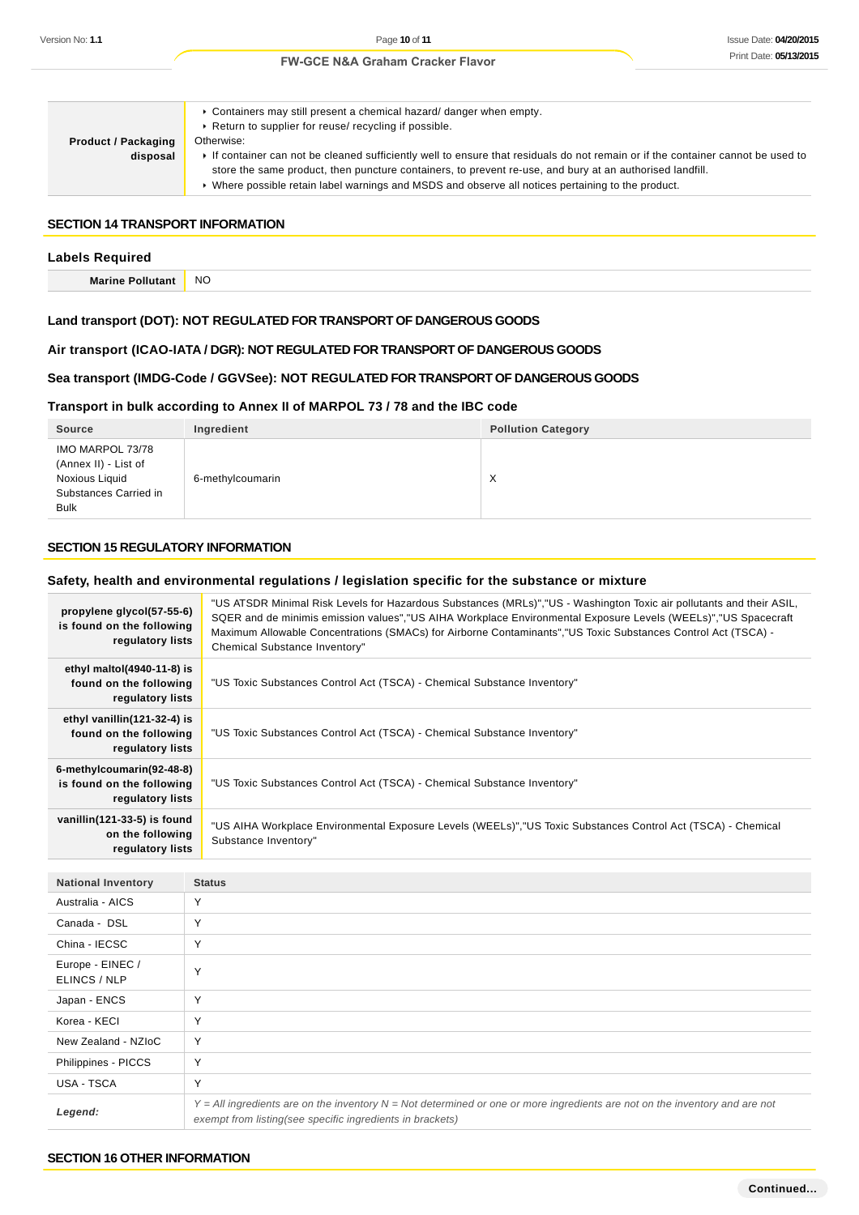| <b>Product / Packaging</b><br>disposal | ► Containers may still present a chemical hazard/ danger when empty.<br>▶ Return to supplier for reuse/ recycling if possible.<br>Otherwise:<br>If container can not be cleaned sufficiently well to ensure that residuals do not remain or if the container cannot be used to<br>store the same product, then puncture containers, to prevent re-use, and bury at an authorised landfill.<br>► Where possible retain label warnings and MSDS and observe all notices pertaining to the product. |
|----------------------------------------|--------------------------------------------------------------------------------------------------------------------------------------------------------------------------------------------------------------------------------------------------------------------------------------------------------------------------------------------------------------------------------------------------------------------------------------------------------------------------------------------------|

### **SECTION 14 TRANSPORT INFORMATION**

#### **Labels Required**

**Marine Pollutant** NO

### **Land transport (DOT): NOT REGULATED FOR TRANSPORT OF DANGEROUS GOODS**

### **Air transport (ICAO-IATA / DGR): NOT REGULATED FOR TRANSPORT OF DANGEROUS GOODS**

### **Sea transport (IMDG-Code / GGVSee): NOT REGULATED FOR TRANSPORT OF DANGEROUS GOODS**

### **Transport in bulk according to Annex II of MARPOL 73 / 78 and the IBC code**

| <b>Source</b>                                                                                      | Ingredient       | <b>Pollution Category</b> |
|----------------------------------------------------------------------------------------------------|------------------|---------------------------|
| IMO MARPOL 73/78<br>(Annex II) - List of<br>Noxious Liquid<br>Substances Carried in<br><b>Bulk</b> | 6-methylcoumarin | X                         |

### **SECTION 15 REGULATORY INFORMATION**

### **Safety, health and environmental regulations / legislation specific for the substance or mixture**

| propylene glycol(57-55-6)<br>is found on the following<br>regulatory lists  | "US ATSDR Minimal Risk Levels for Hazardous Substances (MRLs)","US - Washington Toxic air pollutants and their ASIL,<br>SQER and de minimis emission values","US AIHA Workplace Environmental Exposure Levels (WEELs)","US Spacecraft<br>Maximum Allowable Concentrations (SMACs) for Airborne Contaminants", "US Toxic Substances Control Act (TSCA) -<br>Chemical Substance Inventory" |
|-----------------------------------------------------------------------------|------------------------------------------------------------------------------------------------------------------------------------------------------------------------------------------------------------------------------------------------------------------------------------------------------------------------------------------------------------------------------------------|
| ethyl maltol $(4940-11-8)$ is<br>found on the following<br>regulatory lists | "US Toxic Substances Control Act (TSCA) - Chemical Substance Inventory"                                                                                                                                                                                                                                                                                                                  |
| ethyl vanillin(121-32-4) is<br>found on the following<br>regulatory lists   | "US Toxic Substances Control Act (TSCA) - Chemical Substance Inventory"                                                                                                                                                                                                                                                                                                                  |
| 6-methylcoumarin(92-48-8)<br>is found on the following<br>regulatory lists  | "US Toxic Substances Control Act (TSCA) - Chemical Substance Inventory"                                                                                                                                                                                                                                                                                                                  |
| vanillin(121-33-5) is found<br>on the following<br>regulatory lists         | "US AIHA Workplace Environmental Exposure Levels (WEELs)","US Toxic Substances Control Act (TSCA) - Chemical<br>Substance Inventory"                                                                                                                                                                                                                                                     |

| <b>National Inventory</b>        | <b>Status</b>                                                                                                                                                                                |
|----------------------------------|----------------------------------------------------------------------------------------------------------------------------------------------------------------------------------------------|
| Australia - AICS                 | Υ                                                                                                                                                                                            |
| Canada - DSL                     | Υ                                                                                                                                                                                            |
| China - IECSC                    | $\checkmark$                                                                                                                                                                                 |
| Europe - EINEC /<br>ELINCS / NLP | $\checkmark$                                                                                                                                                                                 |
| Japan - ENCS                     | Υ                                                                                                                                                                                            |
| Korea - KECI                     | Υ                                                                                                                                                                                            |
| New Zealand - NZIoC              | Υ                                                                                                                                                                                            |
| Philippines - PICCS              | Y                                                                                                                                                                                            |
| USA - TSCA                       | Υ                                                                                                                                                                                            |
| Legend:                          | $Y = All$ ingredients are on the inventory $N = Not$ determined or one or more ingredients are not on the inventory and are not<br>exempt from listing(see specific ingredients in brackets) |

#### **SECTION 16 OTHER INFORMATION**